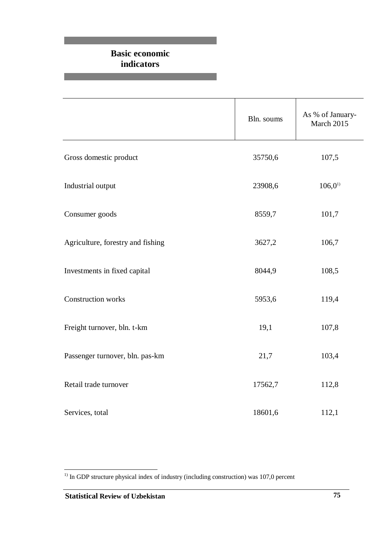## **Basic economic indicators**

|                                   | Bln. soums | As % of January-<br>March 2015 |
|-----------------------------------|------------|--------------------------------|
| Gross domestic product            | 35750,6    | 107,5                          |
| Industrial output                 | 23908,6    | $106,0^{1}$                    |
| Consumer goods                    | 8559,7     | 101,7                          |
| Agriculture, forestry and fishing | 3627,2     | 106,7                          |
| Investments in fixed capital      | 8044,9     | 108,5                          |
| <b>Construction works</b>         | 5953,6     | 119,4                          |
| Freight turnover, bln. t-km       | 19,1       | 107,8                          |
| Passenger turnover, bln. pas-km   | 21,7       | 103,4                          |
| Retail trade turnover             | 17562,7    | 112,8                          |
| Services, total                   | 18601,6    | 112,1                          |

<u>.</u>

<sup>&</sup>lt;sup>1)</sup> In GDP structure physical index of industry (including construction) was 107,0 percent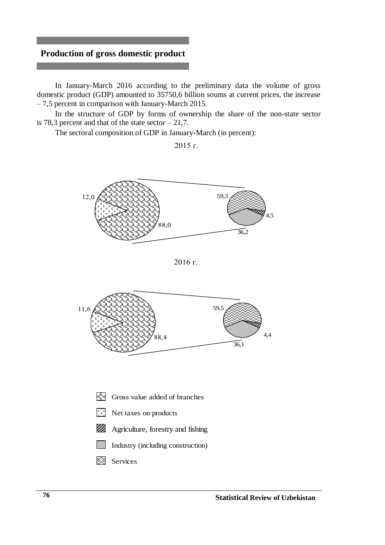### **Production of gross domestic product**

In January-March 2016 according to the preliminary data the volume of gross domestic product (GDP) amounted to 35750,6 billion soums at current prices, the increase – 7,5 percent in comparison with January-March 2015.

In the structure of GDP by forms of ownership the share of the non-state sector is 78,3 percent and that of the state sector  $-21,7$ .

The sectoral composition of GDP in January-March (in percent):

2015 г.



2016 г.



- Gross value added of branches
- $\ddot{\cdot}$  Net taxes on products
- Agriculture, forestry and fishing
	- Industry (including construction)
- $\otimes$  Services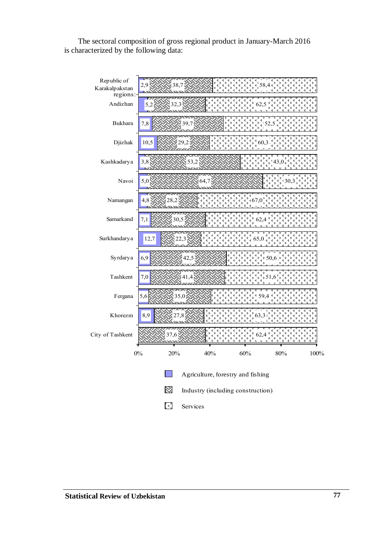The sectoral composition of gross regional product in January-March 2016 is characterized by the following data:

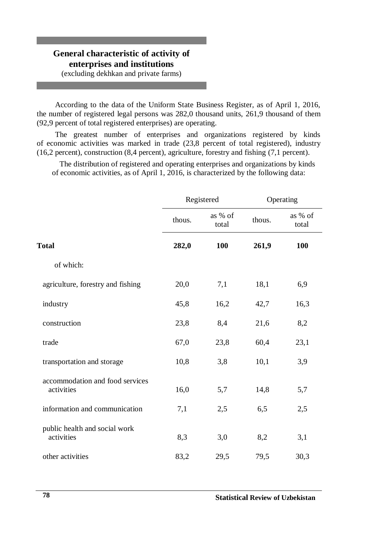## **General characteristic of activity of enterprises and institutions**

(excluding dekhkan and private farms)

According to the data of the Uniform State Business Register, as of April 1, 2016, the number of registered legal persons was 282,0 thousand units, 261,9 thousand of them (92,9 percent of total registered enterprises) are operating.

The greatest number of enterprises and organizations registered by kinds of economic activities was marked in trade (23,8 percent of total registered), industry (16,2 percent), construction (8,4 percent), agriculture, forestry and fishing (7,1 percent).

The distribution of registered and operating enterprises and organizations by kinds of economic activities, as of April 1, 2016, is characterized by the following data:

|                                               |        | Registered       |        | Operating        |
|-----------------------------------------------|--------|------------------|--------|------------------|
|                                               | thous. | as % of<br>total | thous. | as % of<br>total |
| <b>Total</b>                                  | 282,0  | 100              | 261,9  | 100              |
| of which:                                     |        |                  |        |                  |
| agriculture, forestry and fishing             | 20,0   | 7,1              | 18,1   | 6,9              |
| industry                                      | 45,8   | 16,2             | 42,7   | 16,3             |
| construction                                  | 23,8   | 8,4              | 21,6   | 8,2              |
| trade                                         | 67,0   | 23,8             | 60,4   | 23,1             |
| transportation and storage                    | 10,8   | 3,8              | 10,1   | 3,9              |
| accommodation and food services<br>activities | 16,0   | 5,7              | 14,8   | 5,7              |
| information and communication                 | 7,1    | 2,5              | 6,5    | 2,5              |
| public health and social work<br>activities   | 8,3    | 3,0              | 8,2    | 3,1              |
| other activities                              | 83,2   | 29,5             | 79,5   | 30,3             |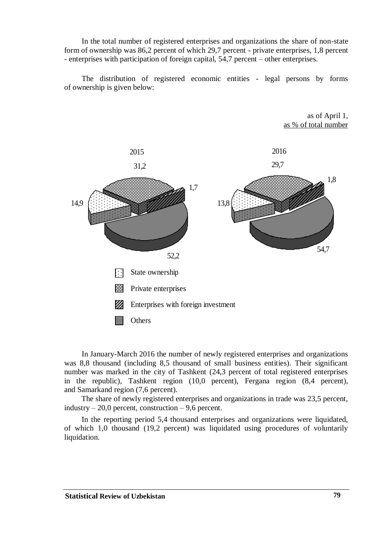In the total number of registered enterprises and organizations the share of non-state form of ownership was 86,2 percent of which 29,7 percent - private enterprises, 1,8 percent - enterprises with participation of foreign capital, 54,7 percent – other enterprises.

The distribution of registered economic entities - legal persons by forms of ownership is given below:



In January-March 2016 the number of newly registered enterprises and organizations was 8,8 thousand (including 8,5 thousand of small business entities). Their significant number was marked in the city of Tashkent (24,3 percent of total registered enterprises in the republic), Tashkent region (10,0 percent), Fergana region (8,4 percent), and Samarkand region (7,6 percent).

The share of newly registered enterprises and organizations in trade was 23,5 percent, industry  $-20.0$  percent, construction  $-9.6$  percent.

In the reporting period 5,4 thousand enterprises and organizations were liquidated, of which 1,0 thousand (19,2 percent) was liquidated using procedures of voluntarily liquidation.

as of April 1,

as % of total number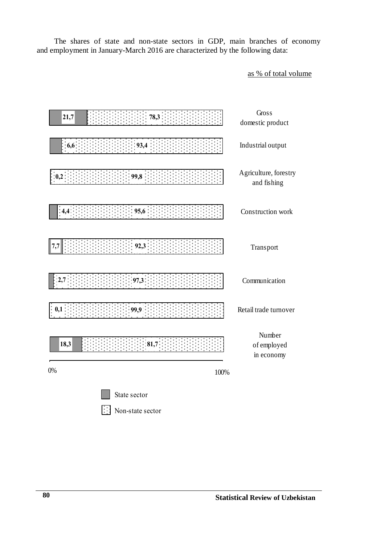The shares of state and non-state sectors in GDP, main branches of economy and employment in January-March 2016 are characterized by the following data:

as % of total volume

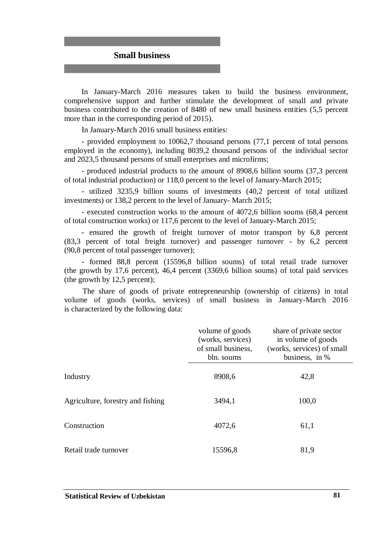### **Small business**

In January-March 2016 measures taken to build the business environment, comprehensive support and further stimulate the development of small and private business contributed to the creation of 8480 of new small business entities (5,5 percent more than in the corresponding period of 2015).

In January-March 2016 small business entities:

- provided employment to 10062,7 thousand persons (77,1 percent of total persons employed in the economy), including 8039,2 thousand persons of the individual sector and 2023,5 thousand persons of small enterprises and microfirms;

- produced industrial products to the amount of 8908,6 billion soums (37,3 percent of total industrial production) or 118,0 percent to the level of January-March 2015;

- utilized 3235,9 billion soums of investments (40,2 percent of total utilized investments) or 138,2 percent to the level of January- March 2015;

- executed construction works to the amount of 4072,6 billion soums (68,4 percent of total construction works) or 117,6 percent to the level of January-March 2015;

- ensured the growth of freight turnover of motor transport by 6,8 percent (83,3 percent of total freight turnover) and passenger turnover - by 6,2 percent (90,8 percent of total passenger turnover);

- formed 88,8 percent (15596,8 billion soums) of total retail trade turnover (the growth by 17,6 percent), 46,4 percent (3369,6 billion soums) of total paid services (the growth by 12,5 percent);

The share of goods of private entrepreneurship (ownership of citizens) in total volume of goods (works, services) of small business in January-March 2016 is characterized by the following data:

|                                   | volume of goods<br>(works, services)<br>of small business,<br>bln. soums | share of private sector<br>in volume of goods<br>(works, services) of small<br>business, in % |
|-----------------------------------|--------------------------------------------------------------------------|-----------------------------------------------------------------------------------------------|
| Industry                          | 8908,6                                                                   | 42,8                                                                                          |
| Agriculture, forestry and fishing | 3494,1                                                                   | 100,0                                                                                         |
| Construction                      | 4072,6                                                                   | 61,1                                                                                          |
| Retail trade turnover             | 15596,8                                                                  | 81,9                                                                                          |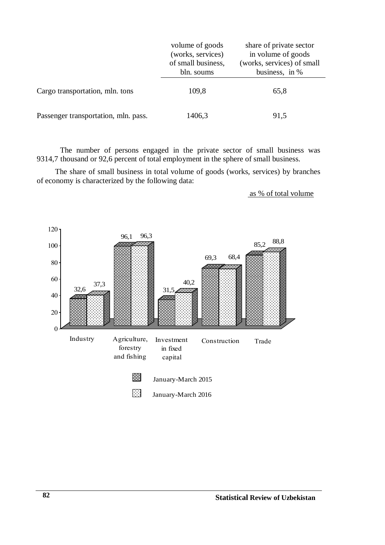|                                      | volume of goods<br>(works, services)<br>of small business,<br>bln. soums | share of private sector<br>in volume of goods<br>(works, services) of small<br>business, in % |
|--------------------------------------|--------------------------------------------------------------------------|-----------------------------------------------------------------------------------------------|
| Cargo transportation, mln. tons      | 109,8                                                                    | 65,8                                                                                          |
| Passenger transportation, mln. pass. | 1406,3                                                                   | 91,5                                                                                          |

The number of persons engaged in the private sector of small business was 9314,7 thousand or 92,6 percent of total employment in the sphere of small business.

The share of small business in total volume of goods (works, services) by branches of economy is characterized by the following data:

#### as % of total volume

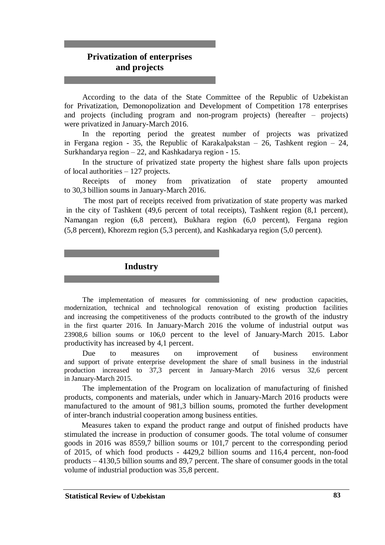## **Privatization of enterprises and projects**

According to the data of the State Committee of the Republic of Uzbekistan for Privatization, Demonopolization and Development of Competition 178 enterprises and projects (including program and non-program projects) (hereafter – projects) were privatized in January-March 2016.

In the reporting period the greatest number of projects was privatized in Fergana region - 35, the Republic of Karakalpakstan  $-26$ , Tashkent region  $-24$ , Surkhandarya region – 22, and Kashkadarya region - 15.

In the structure of privatized state property the highest share falls upon projects of local authorities – 127 projects.

Receipts of money from privatization of state property amounted to 30,3 billion soums in January-March 2016.

The most part of receipts received from privatization of state property was marked in the city of Tashkent (49,6 percent of total receipts), Tashkent region (8,1 percent), Namangan region (6,8 percent), Bukhara region (6,0 percent), Fergana region (5,8 percent), Khorezm region (5,3 percent), and Kashkadarya region (5,0 percent).

#### **Industry**

The implementation of measures for commissioning of new production capacities, modernization, technical and technological renovation of existing production facilities and increasing the competitiveness of the products contributed to the growth of the industry in the first quarter 2016. In January-March 2016 the volume of industrial output was 23908,6 billion soums or 106,0 percent to the level of January-March 2015. Labor productivity has increased by 4,1 percent.

Due to measures on improvement of business environment and support of private enterprise development the share of small business in the industrial production increased to 37,3 percent in January-March 2016 versus 32,6 percent in January-March 2015.

The implementation of the Program on localization of manufacturing of finished products, components and materials, under which in January-March 2016 products were manufactured to the amount of 981,3 billion soums, promoted the further development of inter-branch industrial cooperation among business entities.

Measures taken to expand the product range and output of finished products have stimulated the increase in production of consumer goods. The total volume of consumer goods in 2016 was 8559,7 billion soums or 101,7 percent to the corresponding period of 2015, of which food products - 4429,2 billion soums and 116,4 percent, non-food products – 4130,5 billion soums and 89,7 percent. The share of consumer goods in the total volume of industrial production was 35,8 percent.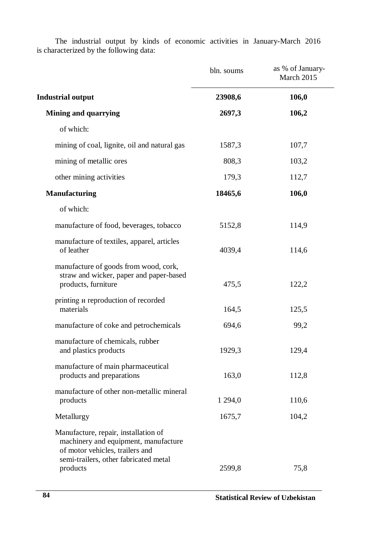The industrial output by kinds of economic activities in January-March 2016 is characterized by the following data:

|                                                                                                                                                                      | bln. soums  | as % of January-<br>March 2015 |
|----------------------------------------------------------------------------------------------------------------------------------------------------------------------|-------------|--------------------------------|
| <b>Industrial output</b>                                                                                                                                             | 23908,6     | 106,0                          |
| <b>Mining and quarrying</b>                                                                                                                                          | 2697,3      | 106,2                          |
| of which:                                                                                                                                                            |             |                                |
| mining of coal, lignite, oil and natural gas                                                                                                                         | 1587,3      | 107,7                          |
| mining of metallic ores                                                                                                                                              | 808,3       | 103,2                          |
| other mining activities                                                                                                                                              | 179,3       | 112,7                          |
| <b>Manufacturing</b>                                                                                                                                                 | 18465,6     | 106,0                          |
| of which:                                                                                                                                                            |             |                                |
| manufacture of food, beverages, tobacco                                                                                                                              | 5152,8      | 114,9                          |
| manufacture of textiles, apparel, articles<br>of leather                                                                                                             | 4039,4      | 114,6                          |
| manufacture of goods from wood, cork,<br>straw and wicker, paper and paper-based<br>products, furniture                                                              | 475,5       | 122,2                          |
| printing <i>u</i> reproduction of recorded<br>materials                                                                                                              | 164,5       | 125,5                          |
| manufacture of coke and petrochemicals                                                                                                                               | 694,6       | 99,2                           |
| manufacture of chemicals, rubber<br>and plastics products                                                                                                            | 1929,3      | 129,4                          |
| manufacture of main pharmaceutical<br>products and preparations                                                                                                      | 163,0       | 112,8                          |
| manufacture of other non-metallic mineral<br>products                                                                                                                | 1 2 9 4 , 0 | 110,6                          |
| Metallurgy                                                                                                                                                           | 1675,7      | 104,2                          |
| Manufacture, repair, installation of<br>machinery and equipment, manufacture<br>of motor vehicles, trailers and<br>semi-trailers, other fabricated metal<br>products | 2599,8      | 75,8                           |
|                                                                                                                                                                      |             |                                |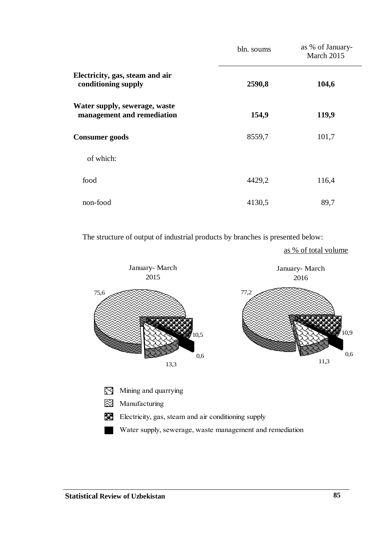|                                                             | bln. soums | as % of January-<br>March 2015 |
|-------------------------------------------------------------|------------|--------------------------------|
| Electricity, gas, steam and air<br>conditioning supply      | 2590,8     | 104,6                          |
| Water supply, sewerage, waste<br>management and remediation | 154,9      | 119,9                          |
| <b>Consumer</b> goods                                       | 8559,7     | 101,7                          |
| of which:                                                   |            |                                |
| food                                                        | 4429,2     | 116,4                          |
| non-food                                                    | 4130,5     | 89,7                           |

The structure of output of industrial products by branches is presented below:



Water supply, sewerage, waste management and remediation

as % of total volume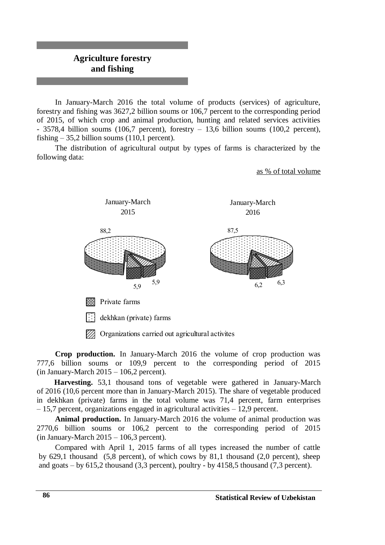## **Agriculture forestry and fishing**

In January-March 2016 the total volume of products (services) of agriculture, forestry and fishing was 3627,2 billion soums or 106,7 percent to the corresponding period of 2015, of which crop and animal production, hunting and related services activities  $-$  3578,4 billion soums (106,7 percent), forestry  $-$  13,6 billion soums (100,2 percent), fishing  $-35.2$  billion soums (110,1 percent).

The distribution of agricultural output by types of farms is characterized by the following data:

as % of total volume



**22** Organizations carried out agricultural activites

**Crop production.** In January-March 2016 the volume of crop production was 777,6 billion soums or 109,9 percent to the corresponding period of 2015 (in January-March  $2015 - 106.2$  percent).

**Harvesting.** 53,1 thousand tons of vegetable were gathered in January-March of 2016 (10,6 percent more than in January-March 2015). The share of vegetable produced in dekhkan (private) farms in the total volume was 71,4 percent, farm enterprises – 15,7 percent, organizations engaged in agricultural activities – 12,9 percent.

**Animal production.** In January-March 2016 the volume of animal production was 2770,6 billion soums or 106,2 percent to the corresponding period of 2015 (in January-March  $2015 - 106,3$  percent).

Compared with April 1, 2015 farms of all types increased the number of cattle by 629,1 thousand (5,8 percent), of which cows by 81,1 thousand (2,0 percent), sheep and goats – by  $615,2$  thousand  $(3,3$  percent), poultry - by  $4158,5$  thousand  $(7,3$  percent).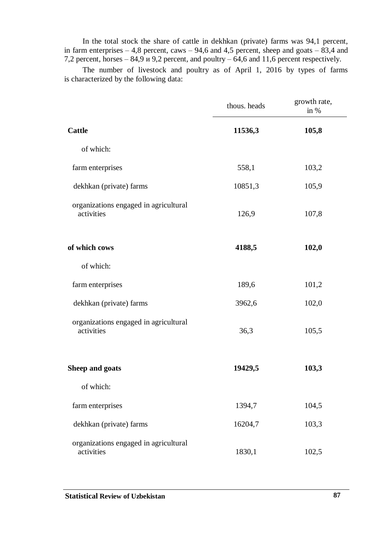In the total stock the share of cattle in dekhkan (private) farms was 94,1 percent, in farm enterprises  $-4,8$  percent, caws  $-94,6$  and  $4,5$  percent, sheep and goats  $-83,4$  and 7,2 percent, horses – 84,9 и 9,2 percent, and poultry – 64,6 and 11,6 percent respectively.

The number of livestock and poultry as of April 1, 2016 by types of farms is characterized by the following data:

|                                                     | thous. heads | growth rate,<br>in % |
|-----------------------------------------------------|--------------|----------------------|
| <b>Cattle</b>                                       | 11536,3      | 105,8                |
| of which:                                           |              |                      |
| farm enterprises                                    | 558,1        | 103,2                |
| dekhkan (private) farms                             | 10851,3      | 105,9                |
| organizations engaged in agricultural<br>activities | 126,9        | 107,8                |
| of which cows                                       | 4188,5       | 102,0                |
| of which:                                           |              |                      |
| farm enterprises                                    | 189,6        | 101,2                |
| dekhkan (private) farms                             | 3962,6       | 102,0                |
| organizations engaged in agricultural<br>activities | 36,3         | 105,5                |
| <b>Sheep and goats</b>                              | 19429,5      | 103,3                |
| of which:                                           |              |                      |
| farm enterprises                                    | 1394,7       | 104,5                |
| dekhkan (private) farms                             | 16204,7      | 103,3                |
| organizations engaged in agricultural<br>activities | 1830,1       | 102,5                |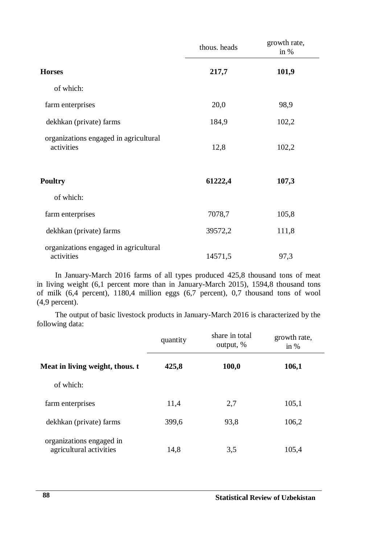|                                                     | thous. heads | growth rate,<br>in $%$ |
|-----------------------------------------------------|--------------|------------------------|
| <b>Horses</b>                                       | 217,7        | 101,9                  |
| of which:                                           |              |                        |
| farm enterprises                                    | 20,0         | 98,9                   |
| dekhkan (private) farms                             | 184,9        | 102,2                  |
| organizations engaged in agricultural<br>activities | 12,8         | 102,2                  |
| <b>Poultry</b>                                      | 61222,4      | 107,3                  |
| of which:                                           |              |                        |
| farm enterprises                                    | 7078,7       | 105,8                  |
| dekhkan (private) farms                             | 39572,2      | 111,8                  |
| organizations engaged in agricultural<br>activities | 14571,5      | 97,3                   |

In January-March 2016 farms of all types produced 425,8 thousand tons of meat in living weight (6,1 percent more than in January-March 2015), 1594,8 thousand tons of milk (6,4 percent), 1180,4 million eggs (6,7 percent), 0,7 thousand tons of wool (4,9 percent).

The output of basic livestock products in January-March 2016 is characterized by the following data:

|                                                     | quantity | share in total<br>output, % | growth rate,<br>in $%$ |
|-----------------------------------------------------|----------|-----------------------------|------------------------|
| Meat in living weight, thous. t                     | 425,8    | 100,0                       | 106,1                  |
| of which:                                           |          |                             |                        |
| farm enterprises                                    | 11,4     | 2,7                         | 105,1                  |
| dekhkan (private) farms                             | 399,6    | 93.8                        | 106,2                  |
| organizations engaged in<br>agricultural activities | 14,8     | 3,5                         | 105,4                  |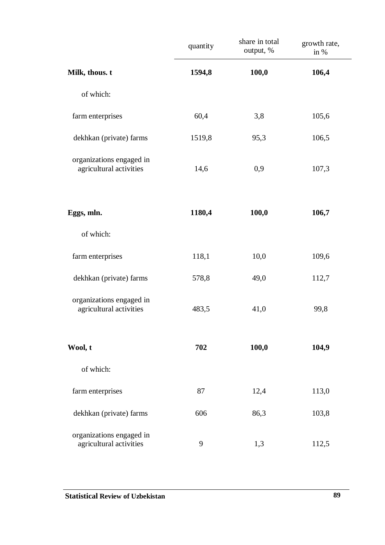|                                                     | quantity | share in total<br>output, % | growth rate,<br>in $%$ |
|-----------------------------------------------------|----------|-----------------------------|------------------------|
| Milk, thous. t                                      | 1594,8   | 100,0                       | 106,4                  |
| of which:                                           |          |                             |                        |
| farm enterprises                                    | 60,4     | 3,8                         | 105,6                  |
| dekhkan (private) farms                             | 1519,8   | 95,3                        | 106,5                  |
| organizations engaged in<br>agricultural activities | 14,6     | 0,9                         | 107,3                  |
| Eggs, mln.                                          | 1180,4   | 100,0                       | 106,7                  |
| of which:                                           |          |                             |                        |
| farm enterprises                                    | 118,1    | 10,0                        | 109,6                  |
| dekhkan (private) farms                             | 578,8    | 49,0                        | 112,7                  |
| organizations engaged in<br>agricultural activities | 483,5    | 41,0                        | 99,8                   |
| Wool, t                                             | 702      | 100,0                       | 104,9                  |
| of which:                                           |          |                             |                        |
| farm enterprises                                    | 87       | 12,4                        | 113,0                  |
| dekhkan (private) farms                             | 606      | 86,3                        | 103,8                  |
| organizations engaged in<br>agricultural activities | 9        | 1,3                         | 112,5                  |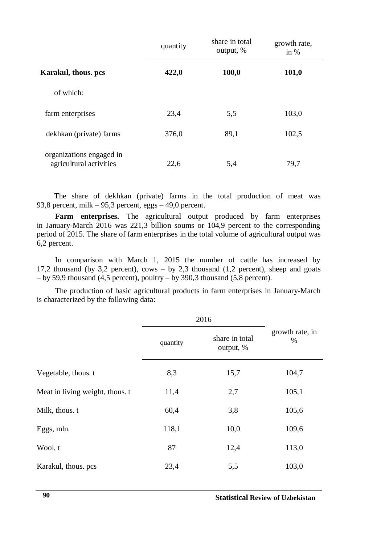|                                                     | quantity | share in total<br>output, % | growth rate,<br>in $%$ |
|-----------------------------------------------------|----------|-----------------------------|------------------------|
| Karakul, thous. pcs                                 | 422,0    | 100,0                       | 101,0                  |
| of which:                                           |          |                             |                        |
| farm enterprises                                    | 23,4     | 5,5                         | 103,0                  |
| dekhkan (private) farms                             | 376,0    | 89,1                        | 102,5                  |
| organizations engaged in<br>agricultural activities | 22,6     | 5,4                         | 79,7                   |

The share of dekhkan (private) farms in the total production of meat was 93,8 percent, milk – 95,3 percent, eggs – 49,0 percent.

**Farm enterprises.** The agricultural output produced by farm enterprises in January-March 2016 was 221,3 billion soums or 104,9 percent to the corresponding period of 2015. The share of farm enterprises in the total volume of agricultural output was 6,2 percent.

In comparison with March 1, 2015 the number of cattle has increased by 17,2 thousand (by 3,2 percent), cows – by 2,3 thousand (1,2 percent), sheep and goats – by 59,9 thousand (4,5 percent), poultry – by 390,3 thousand (5,8 percent).

The production of basic agricultural products in farm enterprises in January-March is characterized by the following data:

|                                 | 2016     |                             |                         |
|---------------------------------|----------|-----------------------------|-------------------------|
|                                 | quantity | share in total<br>output, % | growth rate, in<br>$\%$ |
| Vegetable, thous. t             | 8,3      | 15,7                        | 104,7                   |
| Meat in living weight, thous. t | 11,4     | 2,7                         | 105,1                   |
| Milk, thous. t                  | 60,4     | 3,8                         | 105,6                   |
| Eggs, mln.                      | 118,1    | 10,0                        | 109,6                   |
| Wool, t                         | 87       | 12,4                        | 113,0                   |
| Karakul, thous. pcs             | 23,4     | 5,5                         | 103,0                   |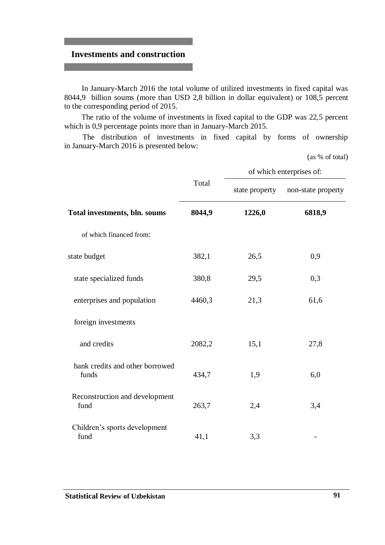## **Investments and construction**

In January-March 2016 the total volume of utilized investments in fixed capital was 8044,9 billion soums (more than USD 2,8 billion in dollar equivalent) or 108,5 percent to the corresponding period of 2015.

The ratio of the volume of investments in fixed capital to the GDP was 22,5 percent which is 0,9 percentage points more than in January-March 2015.

The distribution of investments in fixed capital by forms of ownership in January-March 2016 is presented below:

(as % of total)

|                                          |        | of which enterprises of: |                    |  |  |
|------------------------------------------|--------|--------------------------|--------------------|--|--|
|                                          | Total  | state property           | non-state property |  |  |
| Total investments, bln. soums            | 8044,9 | 1226,0                   | 6818,9             |  |  |
| of which financed from:                  |        |                          |                    |  |  |
| state budget                             | 382,1  | 26,5                     | 0,9                |  |  |
| state specialized funds                  | 380,8  | 29,5                     | 0,3                |  |  |
| enterprises and population               | 4460,3 | 21,3                     | 61,6               |  |  |
| foreign investments                      |        |                          |                    |  |  |
| and credits                              | 2082,2 | 15,1                     | 27,8               |  |  |
| bank credits and other borrowed<br>funds | 434,7  | 1,9                      | 6,0                |  |  |
| Reconstruction and development<br>fund   | 263,7  | 2,4                      | 3,4                |  |  |
| Children's sports development<br>fund    | 41,1   | 3,3                      |                    |  |  |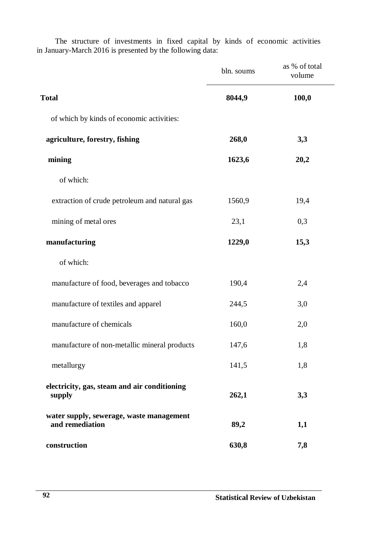|                                                             | bln. soums | as % of total<br>volume |
|-------------------------------------------------------------|------------|-------------------------|
| <b>Total</b>                                                | 8044,9     | 100,0                   |
| of which by kinds of economic activities:                   |            |                         |
| agriculture, forestry, fishing                              | 268,0      | 3,3                     |
| mining                                                      | 1623,6     | 20,2                    |
| of which:                                                   |            |                         |
| extraction of crude petroleum and natural gas               | 1560,9     | 19,4                    |
| mining of metal ores                                        | 23,1       | 0,3                     |
| manufacturing                                               | 1229,0     | 15,3                    |
| of which:                                                   |            |                         |
| manufacture of food, beverages and tobacco                  | 190,4      | 2,4                     |
| manufacture of textiles and apparel                         | 244,5      | 3,0                     |
| manufacture of chemicals                                    | 160,0      | 2,0                     |
| manufacture of non-metallic mineral products                | 147,6      | 1,8                     |
| metallurgy                                                  | 141,5      | 1,8                     |
| electricity, gas, steam and air conditioning<br>supply      | 262,1      | 3,3                     |
| water supply, sewerage, waste management<br>and remediation | 89,2       | 1,1                     |
| construction                                                | 630,8      | 7,8                     |

The structure of investments in fixed capital by kinds of economic activities in January-March 2016 is presented by the following data: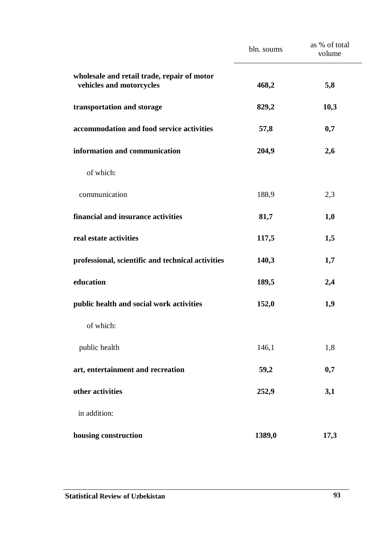|                                                                         | bln. soums | as % of total<br>volume |
|-------------------------------------------------------------------------|------------|-------------------------|
| wholesale and retail trade, repair of motor<br>vehicles and motorcycles | 468,2      | 5,8                     |
| transportation and storage                                              | 829,2      | 10,3                    |
| accommodation and food service activities                               | 57,8       | 0,7                     |
| information and communication                                           | 204,9      | 2,6                     |
| of which:                                                               |            |                         |
| communication                                                           | 188,9      | 2,3                     |
| financial and insurance activities                                      | 81,7       | 1,0                     |
| real estate activities                                                  | 117,5      | 1,5                     |
| professional, scientific and technical activities                       | 140,3      | 1,7                     |
| education                                                               | 189,5      | 2,4                     |
| public health and social work activities                                | 152,0      | 1,9                     |
| of which:                                                               |            |                         |
| public health                                                           | 146,1      | 1,8                     |
| art, entertainment and recreation                                       | 59,2       | 0,7                     |
| other activities                                                        | 252,9      | 3,1                     |
| in addition:                                                            |            |                         |
| housing construction                                                    | 1389,0     | 17,3                    |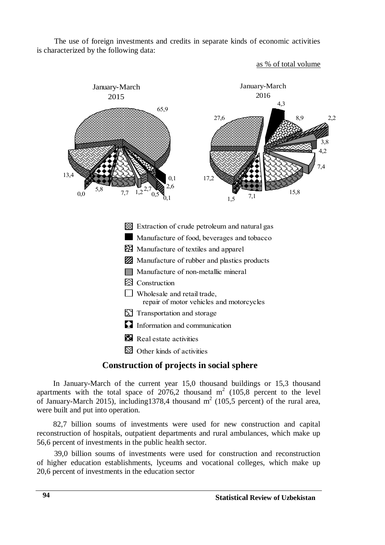The use of foreign investments and credits in separate kinds of economic activities is characterized by the following data:



### **Construction of projects in social sphere**

In January-March of the current year 15,0 thousand buildings or 15,3 thousand apartments with the total space of  $2076,2$  thousand  $m<sup>2</sup>$  (105,8 percent to the level of January-March 2015), including1378,4 thousand  $m^2$  (105,5 percent) of the rural area, were built and put into operation.

82,7 billion soums of investments were used for new construction and capital reconstruction of hospitals, outpatient departments and rural ambulances, which make up 56,6 percent of investments in the public health sector.

39,0 billion soums of investments were used for construction and reconstruction of higher education establishments, lyceums and vocational colleges, which make up 20,6 percent of investments in the education sector

as % of total volume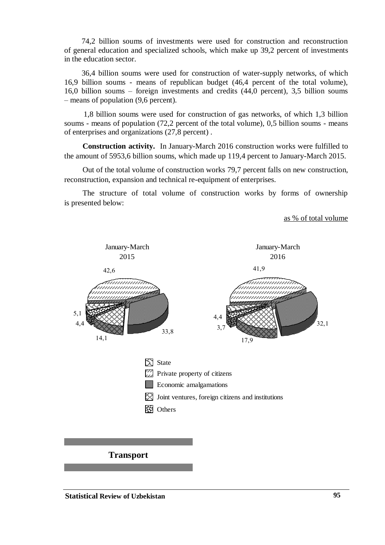74,2 billion soums of investments were used for construction and reconstruction of general education and specialized schools, which make up 39,2 percent of investments in the education sector.

36,4 billion soums were used for construction of water-supply networks, of which 16,9 billion soums - means of republican budget (46,4 percent of the total volume), 16,0 billion soums – foreign investments and credits (44,0 percent), 3,5 billion soums – means of population (9,6 percent).

1,8 billion soums were used for construction of gas networks, of which 1,3 billion soums - means of population (72,2 percent of the total volume), 0,5 billion soums - means of enterprises and organizations (27,8 percent) .

**Construction activity.** In January-March 2016 construction works were fulfilled to the amount of 5953,6 billion soums, which made up 119,4 percent to January-March 2015.

Out of the total volume of construction works 79,7 percent falls on new construction, reconstruction, expansion and technical re-equipment of enterprises.

The structure of total volume of construction works by forms of ownership is presented below:

#### as % of total volume

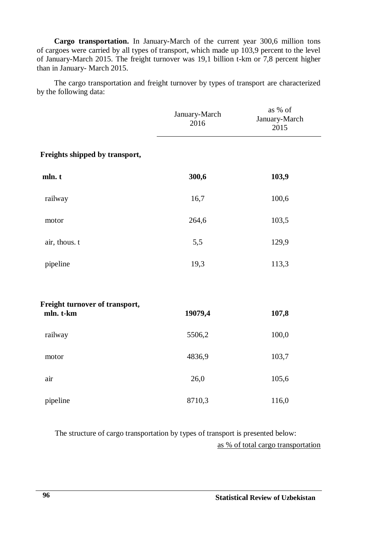**Cargo transportation.** In January-March of the current year 300,6 million tons of cargoes were carried by all types of transport, which made up 103,9 percent to the level of January-March 2015. The freight turnover was 19,1 billion t-km or 7,8 percent higher than in January- March 2015.

The cargo transportation and freight turnover by types of transport are characterized by the following data:

|                                             | January-March<br>2016 | as % of<br>January-March<br>2015 |
|---------------------------------------------|-----------------------|----------------------------------|
| Freights shipped by transport,              |                       |                                  |
| mln. t                                      | 300,6                 | 103,9                            |
| railway                                     | 16,7                  | 100,6                            |
| motor                                       | 264,6                 | 103,5                            |
| air, thous. t                               | 5,5                   | 129,9                            |
| pipeline                                    | 19,3                  | 113,3                            |
| Freight turnover of transport,<br>mln. t-km | 19079,4               | 107,8                            |
| railway                                     | 5506,2                | 100,0                            |
| motor                                       | 4836,9                | 103,7                            |
| air                                         | 26,0                  | 105,6                            |
| pipeline                                    | 8710,3                | 116,0                            |

The structure of cargo transportation by types of transport is presented below: as % of total cargo transportation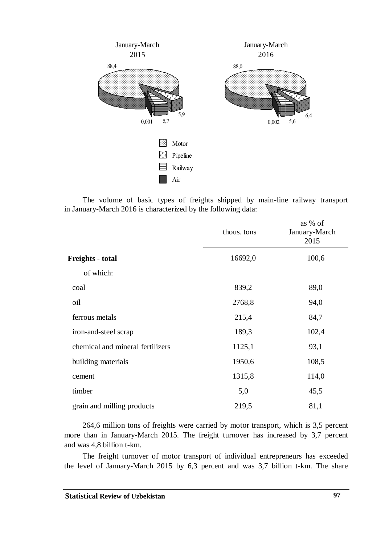

The volume of basic types of freights shipped by main-line railway transport in January-March 2016 is characterized by the following data:

|                                  | thous. tons | as % of<br>January-March<br>2015 |
|----------------------------------|-------------|----------------------------------|
| <b>Freights - total</b>          | 16692,0     | 100,6                            |
| of which:                        |             |                                  |
| coal                             | 839,2       | 89,0                             |
| oil                              | 2768,8      | 94,0                             |
| ferrous metals                   | 215,4       | 84,7                             |
| iron-and-steel scrap             | 189,3       | 102,4                            |
| chemical and mineral fertilizers | 1125,1      | 93,1                             |
| building materials               | 1950,6      | 108,5                            |
| cement                           | 1315,8      | 114,0                            |
| timber                           | 5,0         | 45,5                             |
| grain and milling products       | 219,5       | 81,1                             |

264,6 million tons of freights were carried by motor transport, which is 3,5 percent more than in January-March 2015. The freight turnover has increased by 3,7 percent and was 4,8 billion t-km.

The freight turnover of motor transport of individual entrepreneurs has exceeded the level of January-March 2015 by 6,3 percent and was 3,7 billion t-km. The share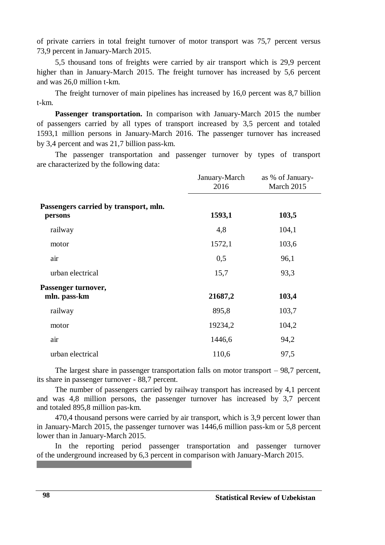of private carriers in total freight turnover of motor transport was 75,7 percent versus 73,9 percent in January-March 2015.

5,5 thousand tons of freights were carried by air transport which is 29,9 percent higher than in January-March 2015. The freight turnover has increased by 5,6 percent and was 26,0 million t-km.

The freight turnover of main pipelines has increased by 16,0 percent was 8,7 billion t-km.

**Passenger transportation.** In comparison with January-March 2015 the number of passengers carried by all types of transport increased by 3,5 percent and totaled 1593,1 million persons in January-March 2016. The passenger turnover has increased by 3,4 percent and was 21,7 billion pass-km.

The passenger transportation and passenger turnover by types of transport are characterized by the following data:

|                                       | January-March<br>2016 | as % of January-<br>March 2015 |
|---------------------------------------|-----------------------|--------------------------------|
| Passengers carried by transport, mln. | 1593,1                | 103,5                          |
| persons<br>railway                    | 4,8                   | 104,1                          |
|                                       |                       |                                |
| motor                                 | 1572,1                | 103,6                          |
| air                                   | 0,5                   | 96,1                           |
| urban electrical                      | 15,7                  | 93,3                           |
| Passenger turnover,<br>mln. pass-km   | 21687,2               | 103,4                          |
| railway                               | 895,8                 | 103,7                          |
| motor                                 | 19234,2               | 104,2                          |
| air                                   | 1446,6                | 94,2                           |
| urban electrical                      | 110,6                 | 97,5                           |

The largest share in passenger transportation falls on motor transport – 98,7 percent, its share in passenger turnover - 88,7 percent.

The number of passengers carried by railway transport has increased by 4,1 percent and was 4,8 million persons, the passenger turnover has increased by 3,7 percent and totaled 895,8 million pas-km.

470,4 thousand persons were carried by air transport, which is 3,9 percent lower than in January-March 2015, the passenger turnover was 1446,6 million pass-km or 5,8 percent lower than in January-March 2015.

In the reporting period passenger transportation and passenger turnover of the underground increased by 6,3 percent in comparison with January-March 2015.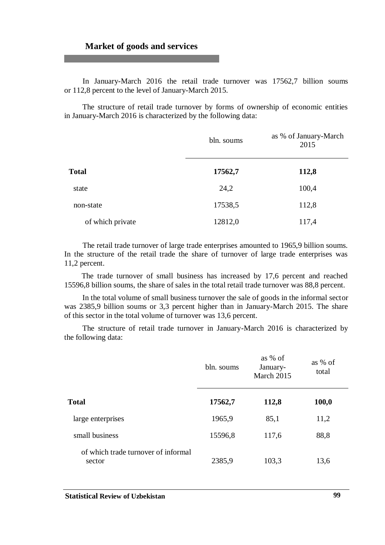#### **Market of goods and services**

In January-March 2016 the retail trade turnover was 17562,7 billion soums or 112,8 percent to the level of January-March 2015.

The structure of retail trade turnover by forms of ownership of economic entities in January-March 2016 is characterized by the following data:

|                  | bln. soums | as % of January-March<br>2015 |
|------------------|------------|-------------------------------|
| <b>Total</b>     | 17562,7    | 112,8                         |
| state            | 24,2       | 100,4                         |
| non-state        | 17538,5    | 112,8                         |
| of which private | 12812,0    | 117,4                         |

The retail trade turnover of large trade enterprises amounted to 1965,9 billion soums. In the structure of the retail trade the share of turnover of large trade enterprises was 11,2 percent.

The trade turnover of small business has increased by 17,6 percent and reached 15596,8 billion soums, the share of sales in the total retail trade turnover was 88,8 percent.

In the total volume of small business turnover the sale of goods in the informal sector was 2385,9 billion soums or 3,3 percent higher than in January-March 2015. The share of this sector in the total volume of turnover was 13,6 percent.

The structure of retail trade turnover in January-March 2016 is characterized by the following data:

|                                               | bln. soums | as $%$ of<br>January-<br>March 2015 | as % of<br>total |
|-----------------------------------------------|------------|-------------------------------------|------------------|
| <b>Total</b>                                  | 17562,7    | 112,8                               | 100,0            |
| large enterprises                             | 1965,9     | 85,1                                | 11,2             |
| small business                                | 15596,8    | 117,6                               | 88,8             |
| of which trade turnover of informal<br>sector | 2385,9     | 103,3                               | 13,6             |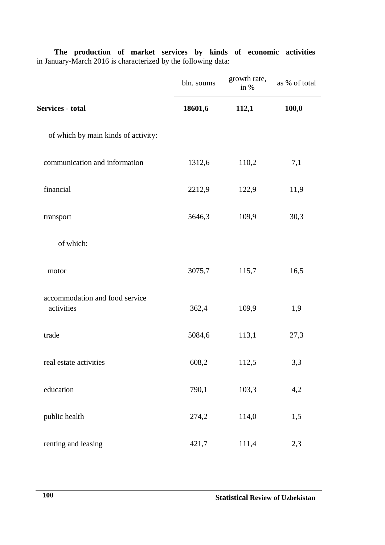|                                              | bln. soums | growth rate,<br>in % | as % of total |
|----------------------------------------------|------------|----------------------|---------------|
| <b>Services - total</b>                      | 18601,6    | 112,1                | 100,0         |
| of which by main kinds of activity:          |            |                      |               |
| communication and information                | 1312,6     | 110,2                | 7,1           |
| financial                                    | 2212,9     | 122,9                | 11,9          |
| transport                                    | 5646,3     | 109,9                | 30,3          |
| of which:                                    |            |                      |               |
| motor                                        | 3075,7     | 115,7                | 16,5          |
| accommodation and food service<br>activities | 362,4      | 109,9                | 1,9           |
| trade                                        | 5084,6     | 113,1                | 27,3          |
| real estate activities                       | 608,2      | 112,5                | 3,3           |
| education                                    | 790,1      | 103,3                | 4,2           |
| public health                                | 274,2      | 114,0                | 1,5           |
| renting and leasing                          | 421,7      | 111,4                | 2,3           |

**The production of market services by kinds of economic activities** in January-March 2016 is characterized by the following data: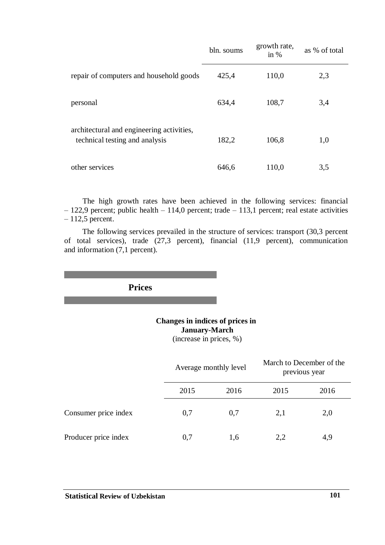|                                                                             | bln. soums | growth rate,<br>in $%$ | as % of total |
|-----------------------------------------------------------------------------|------------|------------------------|---------------|
| repair of computers and household goods                                     | 425,4      | 110,0                  | 2,3           |
| personal                                                                    | 634,4      | 108,7                  | 3,4           |
| architectural and engineering activities,<br>technical testing and analysis | 182,2      | 106,8                  | 1,0           |
| other services                                                              | 646,6      | 110,0                  | 3,5           |

The high growth rates have been achieved in the following services: financial  $-122.9$  percent; public health  $-114.0$  percent; trade  $-113.1$  percent; real estate activities – 112,5 percent.

The following services prevailed in the structure of services: transport (30,3 percent of total services), trade (27,3 percent), financial (11,9 percent), communication and information (7,1 percent).

**Prices**

# **Changes in indices of prices in January-March**

(increase in prices, %)

|                      |      | Average monthly level |      | March to December of the<br>previous year |  |
|----------------------|------|-----------------------|------|-------------------------------------------|--|
|                      | 2015 | 2016                  | 2015 | 2016                                      |  |
| Consumer price index | 0,7  | 0.7                   | 2,1  | 2,0                                       |  |
| Producer price index | 0.7  | 1,6                   | 2.2  | 4,9                                       |  |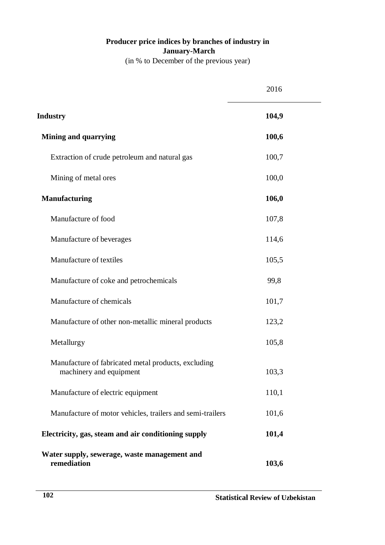# **Producer price indices by branches of industry in January-March**

(in % to December of the previous year)

|                                                                                | 2016  |
|--------------------------------------------------------------------------------|-------|
| <b>Industry</b>                                                                | 104,9 |
| Mining and quarrying                                                           | 100,6 |
| Extraction of crude petroleum and natural gas                                  | 100,7 |
| Mining of metal ores                                                           | 100,0 |
| <b>Manufacturing</b>                                                           | 106,0 |
| Manufacture of food                                                            | 107,8 |
| Manufacture of beverages                                                       | 114,6 |
| Manufacture of textiles                                                        | 105,5 |
| Manufacture of coke and petrochemicals                                         | 99,8  |
| Manufacture of chemicals                                                       | 101,7 |
| Manufacture of other non-metallic mineral products                             | 123,2 |
| Metallurgy                                                                     | 105,8 |
| Manufacture of fabricated metal products, excluding<br>machinery and equipment | 103,3 |
| Manufacture of electric equipment                                              | 110,1 |
| Manufacture of motor vehicles, trailers and semi-trailers                      | 101,6 |
| Electricity, gas, steam and air conditioning supply                            | 101,4 |
| Water supply, sewerage, waste management and<br>remediation                    | 103,6 |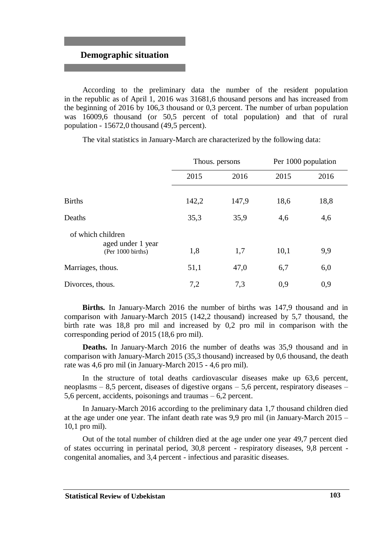## **Demographic situation**

According to the preliminary data the number of the resident population in the republic as of April 1, 2016 was 31681,6 thousand persons and has increased from the beginning of 2016 by 106,3 thousand or 0,3 percent. The number of urban population was 16009,6 thousand (or 50,5 percent of total population) and that of rural population - 15672,0 thousand (49,5 percent).

The vital statistics in January-March are characterized by the following data:

|                                                             | Thous. persons |       | Per 1000 population |      |
|-------------------------------------------------------------|----------------|-------|---------------------|------|
|                                                             | 2015           | 2016  | 2015                | 2016 |
| <b>Births</b>                                               | 142,2          | 147,9 | 18,6                | 18,8 |
| Deaths                                                      | 35,3           | 35,9  | 4,6                 | 4,6  |
| of which children<br>aged under 1 year<br>(Per 1000 births) | 1,8            | 1,7   | 10,1                | 9,9  |
| Marriages, thous.                                           | 51,1           | 47,0  | 6,7                 | 6,0  |
| Divorces, thous.                                            | 7,2            | 7,3   | 0,9                 | 0,9  |

**Births.** In January-March 2016 the number of births was 147,9 thousand and in comparison with January-March 2015 (142,2 thousand) increased by 5,7 thousand, the birth rate was 18,8 pro mil and increased by 0,2 pro mil in comparison with the corresponding period of 2015 (18,6 pro mil).

**Deaths.** In January-March 2016 the number of deaths was 35,9 thousand and in comparison with January-March 2015 (35,3 thousand) increased by 0,6 thousand, the death rate was 4,6 pro mil (in January-March 2015 - 4,6 pro mil).

In the structure of total deaths cardiovascular diseases make up 63,6 percent, neoplasms  $-8.5$  percent, diseases of digestive organs  $-5.6$  percent, respiratory diseases  $-$ 5,6 percent, accidents, poisonings and traumas – 6,2 percent.

In January-March 2016 according to the preliminary data 1,7 thousand children died at the age under one year. The infant death rate was 9,9 pro mil (in January-March 2015 – 10,1 pro mil).

Out of the total number of children died at the age under one year 49,7 percent died of states occurring in perinatal period, 30,8 percent - respiratory diseases, 9,8 percent congenital anomalies, and 3,4 percent - infectious and parasitic diseases.